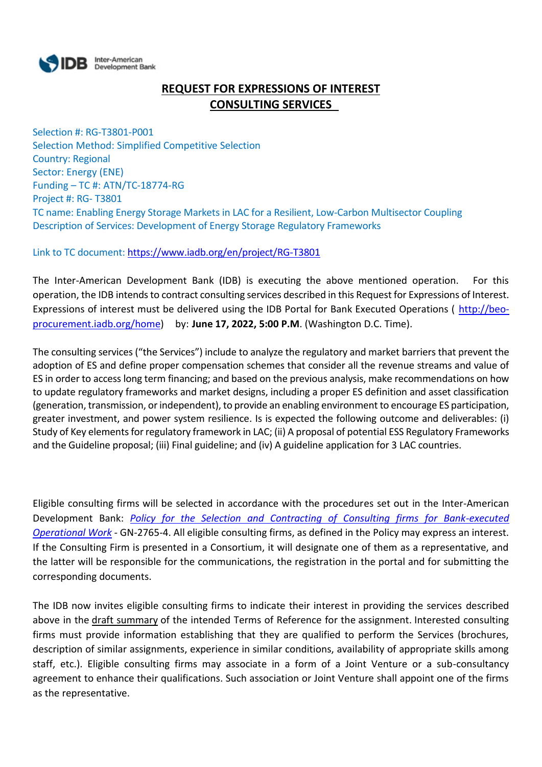

# **REQUEST FOR EXPRESSIONS OF INTEREST CONSULTING SERVICES**

Selection #: RG-T3801-P001 Selection Method: Simplified Competitive Selection Country: Regional Sector: Energy (ENE) Funding – TC #: ATN/TC-18774-RG Project #: RG- T3801 TC name: Enabling Energy Storage Markets in LAC for a Resilient, Low-Carbon Multisector Coupling Description of Services: Development of Energy Storage Regulatory Frameworks

Link to TC document: <https://www.iadb.org/en/project/RG-T3801>

The Inter-American Development Bank (IDB) is executing the above mentioned operation. For this operation, the IDB intends to contract consulting services described in this Request for Expressions of Interest. Expressions of interest must be delivered using the IDB Portal for Bank Executed Operations ( [http://beo](http://beo-procurement.iadb.org/home)[procurement.iadb.org/home\)](http://beo-procurement.iadb.org/home) by: **June 17, 2022, 5:00 P.M**. (Washington D.C. Time).

The consulting services ("the Services") include to analyze the regulatory and market barriers that prevent the adoption of ES and define proper compensation schemes that consider all the revenue streams and value of ES in order to access long term financing; and based on the previous analysis, make recommendations on how to update regulatory frameworks and market designs, including a proper ES definition and asset classification (generation, transmission, or independent), to provide an enabling environment to encourage ES participation, greater investment, and power system resilience. Is is expected the following outcome and deliverables: (i) Study of Key elements for regulatory framework in LAC; (ii) A proposal of potential ESS Regulatory Frameworks and the Guideline proposal; (iii) Final guideline; and (iv) A guideline application for 3 LAC countries.

Eligible consulting firms will be selected in accordance with the procedures set out in the Inter-American Development Bank: *[Policy for the Selection and Contracting of Consulting firms for Bank-executed](http://idbdocs.iadb.org/wsdocs/getdocument.aspx?DOCNUM=38988574)  [Operational Work](http://idbdocs.iadb.org/wsdocs/getdocument.aspx?DOCNUM=38988574)* - GN-2765-4. All eligible consulting firms, as defined in the Policy may express an interest. If the Consulting Firm is presented in a Consortium, it will designate one of them as a representative, and the latter will be responsible for the communications, the registration in the portal and for submitting the corresponding documents.

The IDB now invites eligible consulting firms to indicate their interest in providing the services described above in the draft summary of the intended Terms of Reference for the assignment. Interested consulting firms must provide information establishing that they are qualified to perform the Services (brochures, description of similar assignments, experience in similar conditions, availability of appropriate skills among staff, etc.). Eligible consulting firms may associate in a form of a Joint Venture or a sub-consultancy agreement to enhance their qualifications. Such association or Joint Venture shall appoint one of the firms as the representative.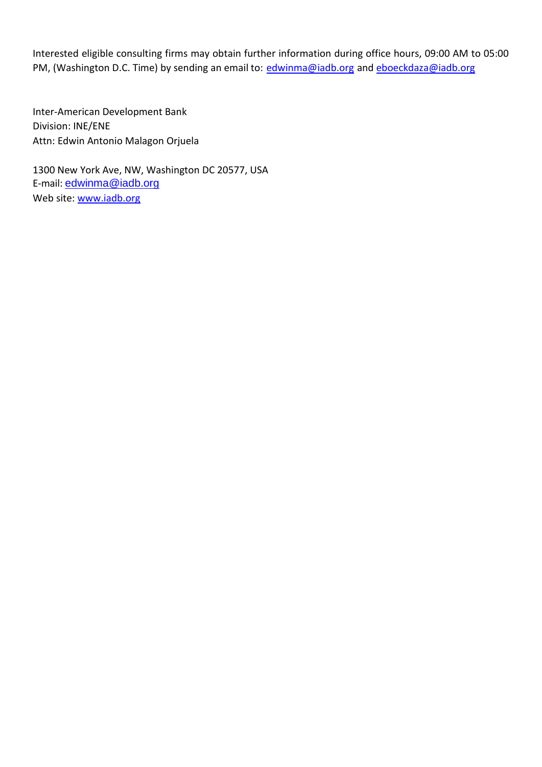Interested eligible consulting firms may obtain further information during office hours, 09:00 AM to 05:00 PM, (Washington D.C. Time) by sending an email to: [edwinma@iadb.org](mailto:edwinma@iadb.org) and [eboeckdaza@iadb.org](mailto:eboeckdaza@iadb.org)

Inter-American Development Bank Division: INE/ENE Attn: Edwin Antonio Malagon Orjuela

1300 New York Ave, NW, Washington DC 20577, USA E-mail: [edwinma@iadb.org](mailto:edwinma@iadb.org) Web site: [www.iadb.org](http://www.iadb.org/)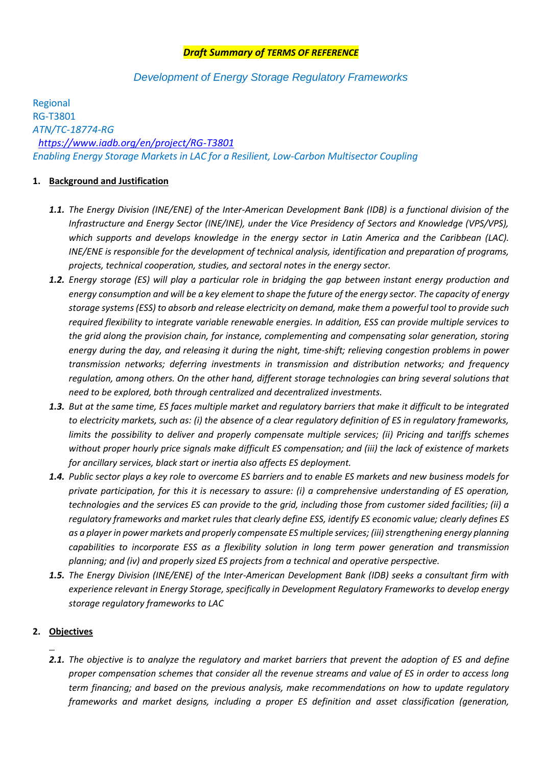# *Draft Summary of TERMS OF REFERENCE*

# *Development of Energy Storage Regulatory Frameworks*

Regional RG-T3801 *ATN/TC-18774-RG <https://www.iadb.org/en/project/RG-T3801> Enabling Energy Storage Markets in LAC for a Resilient, Low-Carbon Multisector Coupling*

### **1. Background and Justification**

- *1.1. The Energy Division (INE/ENE) of the Inter-American Development Bank (IDB) is a functional division of the Infrastructure and Energy Sector (INE/INE), under the Vice Presidency of Sectors and Knowledge (VPS/VPS), which supports and develops knowledge in the energy sector in Latin America and the Caribbean (LAC). INE/ENE is responsible for the development of technical analysis, identification and preparation of programs, projects, technical cooperation, studies, and sectoral notes in the energy sector.*
- *1.2. Energy storage (ES) will play a particular role in bridging the gap between instant energy production and energy consumption and will be a key element to shape the future of the energy sector. The capacity of energy storage systems (ESS) to absorb and release electricity on demand, make them a powerful tool to provide such required flexibility to integrate variable renewable energies. In addition, ESS can provide multiple services to the grid along the provision chain, for instance, complementing and compensating solar generation, storing energy during the day, and releasing it during the night, time-shift; relieving congestion problems in power transmission networks; deferring investments in transmission and distribution networks; and frequency regulation, among others. On the other hand, different storage technologies can bring several solutions that need to be explored, both through centralized and decentralized investments.*
- *1.3. But at the same time, ES faces multiple market and regulatory barriers that make it difficult to be integrated to electricity markets, such as: (i) the absence of a clear regulatory definition of ES in regulatory frameworks, limits the possibility to deliver and properly compensate multiple services; (ii) Pricing and tariffs schemes without proper hourly price signals make difficult ES compensation; and (iii) the lack of existence of markets for ancillary services, black start or inertia also affects ES deployment.*
- *1.4. Public sector plays a key role to overcome ES barriers and to enable ES markets and new business models for private participation, for this it is necessary to assure: (i) a comprehensive understanding of ES operation, technologies and the services ES can provide to the grid, including those from customer sided facilities; (ii) a regulatory frameworks and market rules that clearly define ESS, identify ES economic value; clearly defines ES as a player in power markets and properly compensate ES multiple services; (iii) strengthening energy planning capabilities to incorporate ESS as a flexibility solution in long term power generation and transmission planning; and (iv) and properly sized ES projects from a technical and operative perspective.*
- *1.5. The Energy Division (INE/ENE) of the Inter-American Development Bank (IDB) seeks a consultant firm with experience relevant in Energy Storage, specifically in Development Regulatory Frameworks to develop energy storage regulatory frameworks to LAC*

# **2. Objectives**

*2.1. The objective is to analyze the regulatory and market barriers that prevent the adoption of ES and define proper compensation schemes that consider all the revenue streams and value of ES in order to access long term financing; and based on the previous analysis, make recommendations on how to update regulatory frameworks and market designs, including a proper ES definition and asset classification (generation,*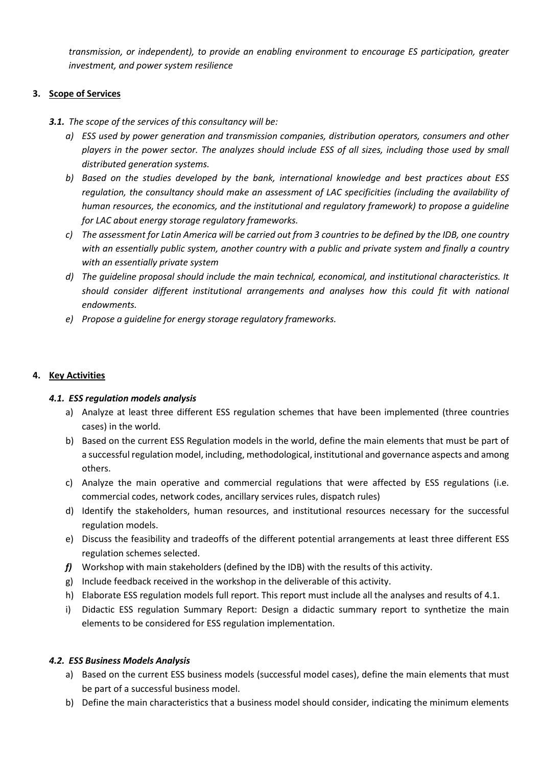*transmission, or independent), to provide an enabling environment to encourage ES participation, greater investment, and power system resilience*

# **3. Scope of Services**

- *3.1. The scope of the services of this consultancy will be:*
	- *a) ESS used by power generation and transmission companies, distribution operators, consumers and other players in the power sector. The analyzes should include ESS of all sizes, including those used by small distributed generation systems.*
	- *b) Based on the studies developed by the bank, international knowledge and best practices about ESS regulation, the consultancy should make an assessment of LAC specificities (including the availability of human resources, the economics, and the institutional and regulatory framework) to propose a guideline for LAC about energy storage regulatory frameworks.*
	- *c) The assessment for Latin America will be carried out from 3 countries to be defined by the IDB, one country with an essentially public system, another country with a public and private system and finally a country with an essentially private system*
	- *d) The guideline proposal should include the main technical, economical, and institutional characteristics. It should consider different institutional arrangements and analyses how this could fit with national endowments.*
	- *e) Propose a guideline for energy storage regulatory frameworks.*

# **4. Key Activities**

# *4.1. ESS regulation models analysis*

- a) Analyze at least three different ESS regulation schemes that have been implemented (three countries cases) in the world.
- b) Based on the current ESS Regulation models in the world, define the main elements that must be part of a successful regulation model, including, methodological, institutional and governance aspects and among others.
- c) Analyze the main operative and commercial regulations that were affected by ESS regulations (i.e. commercial codes, network codes, ancillary services rules, dispatch rules)
- d) Identify the stakeholders, human resources, and institutional resources necessary for the successful regulation models.
- e) Discuss the feasibility and tradeoffs of the different potential arrangements at least three different ESS regulation schemes selected.
- *f)* Workshop with main stakeholders (defined by the IDB) with the results of this activity.
- g) Include feedback received in the workshop in the deliverable of this activity.
- h) Elaborate ESS regulation models full report. This report must include all the analyses and results of 4.1.
- i) Didactic ESS regulation Summary Report: Design a didactic summary report to synthetize the main elements to be considered for ESS regulation implementation.

# *4.2. ESS Business Models Analysis*

- a) Based on the current ESS business models (successful model cases), define the main elements that must be part of a successful business model.
- b) Define the main characteristics that a business model should consider, indicating the minimum elements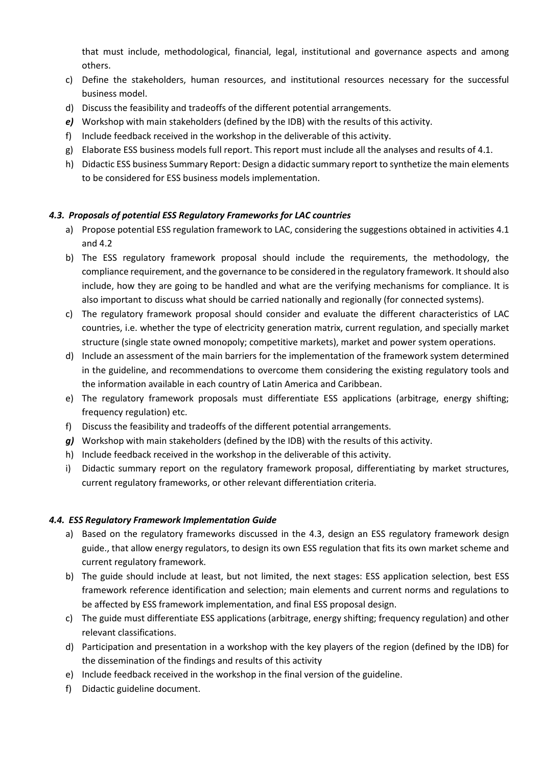that must include, methodological, financial, legal, institutional and governance aspects and among others.

- c) Define the stakeholders, human resources, and institutional resources necessary for the successful business model.
- d) Discuss the feasibility and tradeoffs of the different potential arrangements.
- *e)* Workshop with main stakeholders (defined by the IDB) with the results of this activity.
- f) Include feedback received in the workshop in the deliverable of this activity.
- g) Elaborate ESS business models full report. This report must include all the analyses and results of 4.1.
- h) Didactic ESS business Summary Report: Design a didactic summary report to synthetize the main elements to be considered for ESS business models implementation.

# *4.3. Proposals of potential ESS Regulatory Frameworks for LAC countries*

- a) Propose potential ESS regulation framework to LAC, considering the suggestions obtained in activities 4.1 and 4.2
- b) The ESS regulatory framework proposal should include the requirements, the methodology, the compliance requirement, and the governance to be considered in the regulatory framework. It should also include, how they are going to be handled and what are the verifying mechanisms for compliance. It is also important to discuss what should be carried nationally and regionally (for connected systems).
- c) The regulatory framework proposal should consider and evaluate the different characteristics of LAC countries, i.e. whether the type of electricity generation matrix, current regulation, and specially market structure (single state owned monopoly; competitive markets), market and power system operations.
- d) Include an assessment of the main barriers for the implementation of the framework system determined in the guideline, and recommendations to overcome them considering the existing regulatory tools and the information available in each country of Latin America and Caribbean.
- e) The regulatory framework proposals must differentiate ESS applications (arbitrage, energy shifting; frequency regulation) etc.
- f) Discuss the feasibility and tradeoffs of the different potential arrangements.
- *g)* Workshop with main stakeholders (defined by the IDB) with the results of this activity.
- h) Include feedback received in the workshop in the deliverable of this activity.
- i) Didactic summary report on the regulatory framework proposal, differentiating by market structures, current regulatory frameworks, or other relevant differentiation criteria.

#### *4.4. ESS Regulatory Framework Implementation Guide*

- a) Based on the regulatory frameworks discussed in the 4.3, design an ESS regulatory framework design guide., that allow energy regulators, to design its own ESS regulation that fits its own market scheme and current regulatory framework.
- b) The guide should include at least, but not limited, the next stages: ESS application selection, best ESS framework reference identification and selection; main elements and current norms and regulations to be affected by ESS framework implementation, and final ESS proposal design.
- c) The guide must differentiate ESS applications (arbitrage, energy shifting; frequency regulation) and other relevant classifications.
- d) Participation and presentation in a workshop with the key players of the region (defined by the IDB) for the dissemination of the findings and results of this activity
- e) Include feedback received in the workshop in the final version of the guideline.
- f) Didactic guideline document.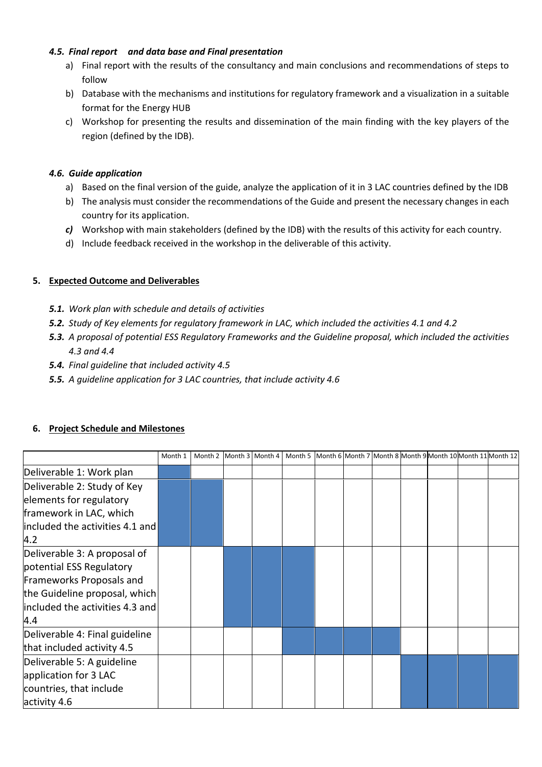# *4.5. Final report and data base and Final presentation*

- a) Final report with the results of the consultancy and main conclusions and recommendations of steps to follow
- b) Database with the mechanisms and institutions for regulatory framework and a visualization in a suitable format for the Energy HUB
- c) Workshop for presenting the results and dissemination of the main finding with the key players of the region (defined by the IDB).

# *4.6. Guide application*

- a) Based on the final version of the guide, analyze the application of it in 3 LAC countries defined by the IDB
- b) The analysis must consider the recommendations of the Guide and present the necessary changes in each country for its application.
- *c)* Workshop with main stakeholders (defined by the IDB) with the results of this activity for each country.
- d) Include feedback received in the workshop in the deliverable of this activity.

# **5. Expected Outcome and Deliverables**

- *5.1. Work plan with schedule and details of activities*
- *5.2. Study of Key elements for regulatory framework in LAC, which included the activities 4.1 and 4.2*
- *5.3. A proposal of potential ESS Regulatory Frameworks and the Guideline proposal, which included the activities 4.3 and 4.4*
- *5.4. Final guideline that included activity 4.5*
- *5.5. A guideline application for 3 LAC countries, that include activity 4.6*

|                                 | Month 1 |  | Month 2 Month 3 Month 4 |  |  | Month 5 Month 6 Month 7 Month 8 Month 9 Month 10 Month 11 Month 12 |  |
|---------------------------------|---------|--|-------------------------|--|--|--------------------------------------------------------------------|--|
| Deliverable 1: Work plan        |         |  |                         |  |  |                                                                    |  |
| Deliverable 2: Study of Key     |         |  |                         |  |  |                                                                    |  |
| elements for regulatory         |         |  |                         |  |  |                                                                    |  |
| framework in LAC, which         |         |  |                         |  |  |                                                                    |  |
| included the activities 4.1 and |         |  |                         |  |  |                                                                    |  |
| 4.2                             |         |  |                         |  |  |                                                                    |  |
| Deliverable 3: A proposal of    |         |  |                         |  |  |                                                                    |  |
| potential ESS Regulatory        |         |  |                         |  |  |                                                                    |  |
| Frameworks Proposals and        |         |  |                         |  |  |                                                                    |  |
| the Guideline proposal, which   |         |  |                         |  |  |                                                                    |  |
| included the activities 4.3 and |         |  |                         |  |  |                                                                    |  |
| 4.4                             |         |  |                         |  |  |                                                                    |  |
| Deliverable 4: Final guideline  |         |  |                         |  |  |                                                                    |  |
| that included activity 4.5      |         |  |                         |  |  |                                                                    |  |
| Deliverable 5: A guideline      |         |  |                         |  |  |                                                                    |  |
| application for 3 LAC           |         |  |                         |  |  |                                                                    |  |
| countries, that include         |         |  |                         |  |  |                                                                    |  |
| activity 4.6                    |         |  |                         |  |  |                                                                    |  |

# **6. Project Schedule and Milestones**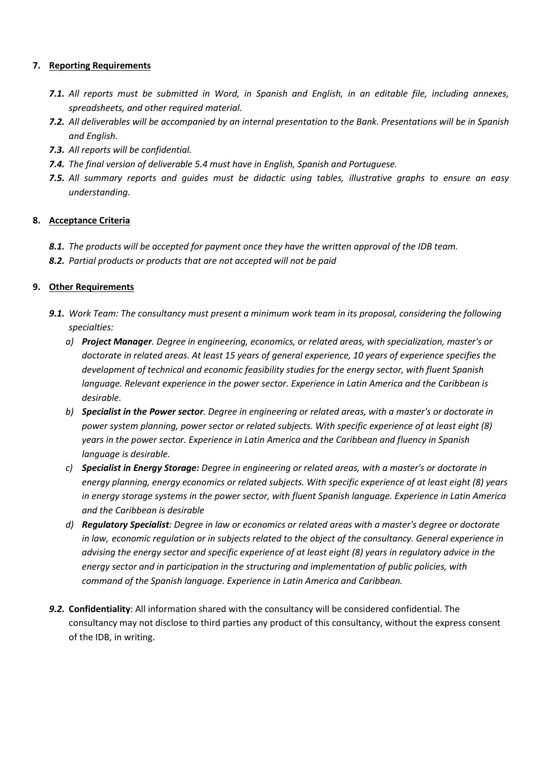# **7. Reporting Requirements**

- *7.1. All reports must be submitted in Word, in Spanish and English, in an editable file, including annexes, spreadsheets, and other required material.*
- *7.2. All deliverables will be accompanied by an internal presentation to the Bank. Presentations will be in Spanish and English.*
- *7.3. All reports will be confidential.*
- *7.4. The final version of deliverable 5.4 must have in English, Spanish and Portuguese.*
- *7.5. All summary reports and guides must be didactic using tables, illustrative graphs to ensure an easy understanding.*

# **8. Acceptance Criteria**

- *8.1. The products will be accepted for payment once they have the written approval of the IDB team.*
- *8.2. Partial products or products that are not accepted will not be paid*

# **9. Other Requirements**

- *9.1. Work Team: The consultancy must present a minimum work team in its proposal, considering the following specialties:*
	- *a) Project Manager. Degree in engineering, economics, or related areas, with specialization, master's or doctorate in related areas. At least 15 years of general experience, 10 years of experience specifies the development of technical and economic feasibility studies for the energy sector, with fluent Spanish language. Relevant experience in the power sector. Experience in Latin America and the Caribbean is desirable.*
	- *b) Specialist in the Power sector. Degree in engineering or related areas, with a master's or doctorate in power system planning, power sector or related subjects. With specific experience of at least eight (8) years in the power sector. Experience in Latin America and the Caribbean and fluency in Spanish language is desirable.*
	- *c) Specialist in Energy Storage: Degree in engineering or related areas, with a master's or doctorate in energy planning, energy economics or related subjects. With specific experience of at least eight (8) years in energy storage systems in the power sector, with fluent Spanish language. Experience in Latin America and the Caribbean is desirable*
	- *d) Regulatory Specialist: Degree in law or economics or related areas with a master's degree or doctorate in law, economic regulation or in subjects related to the object of the consultancy. General experience in advising the energy sector and specific experience of at least eight (8) years in regulatory advice in the energy sector and in participation in the structuring and implementation of public policies, with command of the Spanish language. Experience in Latin America and Caribbean.*
- *9.2.* **Confidentiality**: All information shared with the consultancy will be considered confidential. The consultancy may not disclose to third parties any product of this consultancy, without the express consent of the IDB, in writing.